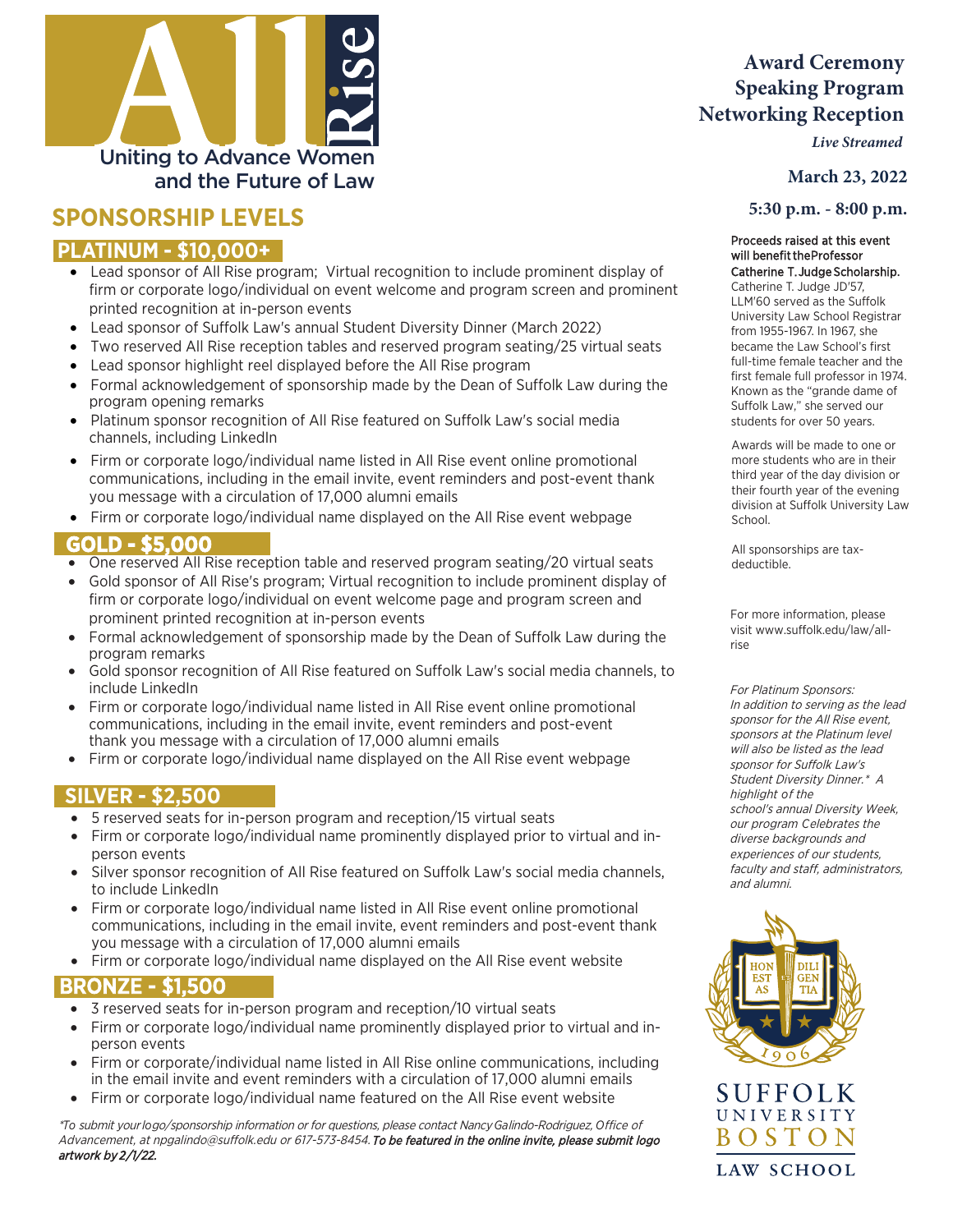

# **SPONSORSHIP LEVELS**

#### **PLATINUM - \$10,000+**

- Lead sponsor of All Rise program; Virtual recognition to include prominent display of firm or corporate logo/individual on event welcome and program screen and prominent printed recognition at in-person events
- Lead sponsor of Suffolk Law's annual Student Diversity Dinner (March 2022)
- Two reserved All Rise reception tables and reserved program seating/25 virtual seats
- Lead sponsor highlight reel displayed before the All Rise program
- Formal acknowledgement of sponsorship made by the Dean of Suffolk Law during the program opening remarks
- Platinum sponsor recognition of All Rise featured on Suffolk Law's social media channels, including LinkedIn
- Firm or corporate logo/individual name listed in All Rise event online promotional communications, including in the email invite, event reminders and post-event thank you message with a circulation of 17,000 alumni emails
- Firm or corporate logo/individual name displayed on the All Rise event webpage

#### **GOLD - \$5,000**

- One reserved All Rise reception table and reserved program seating/20 virtual seats
- Gold sponsor of All Rise's program; Virtual recognition to include prominent display of firm or corporate logo/individual on event welcome page and program screen and prominent printed recognition at in-person events
- Formal acknowledgement of sponsorship made by the Dean of Suffolk Law during the program remarks
- Gold sponsor recognition of All Rise featured on Suffolk Law's social media channels, to include LinkedIn
- Firm or corporate logo/individual name listed in All Rise event online promotional communications, including in the email invite, event reminders and post-event thank you message with a circulation of 17,000 alumni emails
- Firm or corporate logo/individual name displayed on the All Rise event webpage

#### **SILVER - \$2,500**

- 5 reserved seats for in-person program and reception/15 virtual seats
- Firm or corporate logo/individual name prominently displayed prior to virtual and inperson events
- Silver sponsor recognition of All Rise featured on Suffolk Law's social media channels, to include LinkedIn
- Firm or corporate logo/individual name listed in All Rise event online promotional communications, including in the email invite, event reminders and post-event thank you message with a circulation of 17,000 alumni emails
- Firm or corporate logo/individual name displayed on the All Rise event website

### BRONZE - \$1,500

- 3 reserved seats for in-person program and reception/10 virtual seats
- Firm or corporate logo/individual name prominently displayed prior to virtual and inperson events
- Firm or corporate/individual name listed in All Rise online communications, including in the email invite and event reminders with a circulation of 17,000 alumni emails
- Firm or corporate logo/individual name featured on the All Rise event website

\**To* submit your *lo*go/sponsorship information or for questions, please contact Nancy *Ga*lindo-Rodriguez, *O*ffice of Advancement, a[t npgalindo@suffolk.edu](mailto:npgalindo@suffolk.edu) or 617-573-8454. To be featured in the online invite, please submit logo artwork by *2*/1/22.

## **Award Ceremony Speaking Program Networking Reception**

*Live Streamed*

**March 23, 2022**

 **5:30 p.m. - 8:00 p.m.**

#### will benefit the Professor Proceeds raised at this event Catherine T. Judge Scholarship**.**

Catherine T. Judge JD'57, LLM'60 served as the Suffolk University Law School Registrar from 1955-1967. In 1967, she became the Law School's first full-time female teacher and the first female full professor in 1974. Known as the "grande dame of Suffolk Law," she served our students for over 50 years.

Awards will be made to one or more students who are in their third year of the day division or their fourth year of the evening division at Suffolk University Law School.

All sponsorships are taxdeductible.

For more information, please visit www.suffolk.edu/law/allrise

For Platinum Sponsors: In addition to serving as the lead sponsor for the All Rise event, sponsors at the Platinum level will also be listed as the lead sponsor for Suffolk Law's Student Diversity Dinner.\* A highlight *o*f the school's annual Diversity Week, our program *C*elebrates the diverse backgrounds and experiences of our students, faculty and staff, administrators, and alumni.



SUFFOLK UNIVERSITY BOSTON **LAW SCHOOL**